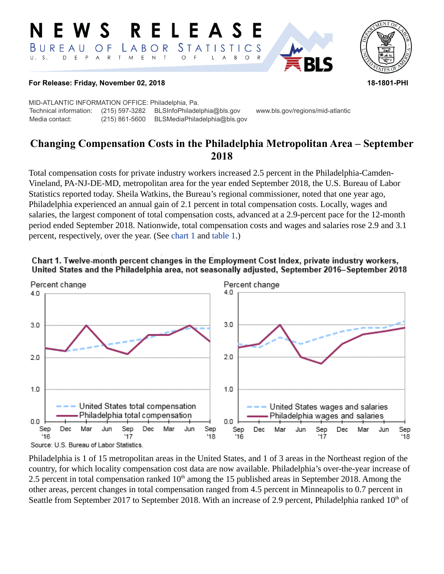#### **RELEAS S** *STATISTICS* BUREAU  $L$   $A$   $B$   $O$   $R$ O F  $T$  $M_{\odot}$  $\mathsf E$  $\top$  $U. S.$  $E$  $P$  $\overline{A}$  $\mathsf{R}$  $\mathsf{N}$  $\circ$  $\overline{A}$ B  $\circ$



### **For Release: Friday, November 02, 2018 18-1801-PHI**

MID-ATLANTIC INFORMATION OFFICE: Philadelphia, Pa. Technical information: (215) 597-3282 BLSInfoPhiladelphia@bls.gov www.bls.gov/regions/mid-atlantic Media contact: (215) 861-5600 BLSMediaPhiladelphia@bls.gov

# **Changing Compensation Costs in the Philadelphia Metropolitan Area – September 2018**

Total compensation costs for private industry workers increased 2.5 percent in the Philadelphia-Camden-Vineland, PA-NJ-DE-MD, metropolitan area for the year ended September 2018, the U.S. Bureau of Labor Statistics reported today. Sheila Watkins, the Bureau's regional commissioner, noted that one year ago, Philadelphia experienced an annual gain of 2.1 percent in total compensation costs. Locally, wages and salaries, the largest component of total compensation costs, advanced at a 2.9-percent pace for the 12-month period ended September 2018. Nationwide, total compensation costs and wages and salaries rose 2.9 and 3.1 percent, respectively, over the year. (See [chart 1](#page-0-0) and [table 1.](#page-4-0))

<span id="page-0-0"></span>



Philadelphia is 1 of 15 metropolitan areas in the United States, and 1 of 3 areas in the Northeast region of the country, for which locality compensation cost data are now available. Philadelphia's over-the-year increase of 2.5 percent in total compensation ranked  $10<sup>th</sup>$  among the 15 published areas in September 2018. Among the other areas, percent changes in total compensation ranged from 4.5 percent in Minneapolis to 0.7 percent in Seattle from September 2017 to September 2018. With an increase of 2.9 percent, Philadelphia ranked  $10<sup>th</sup>$  of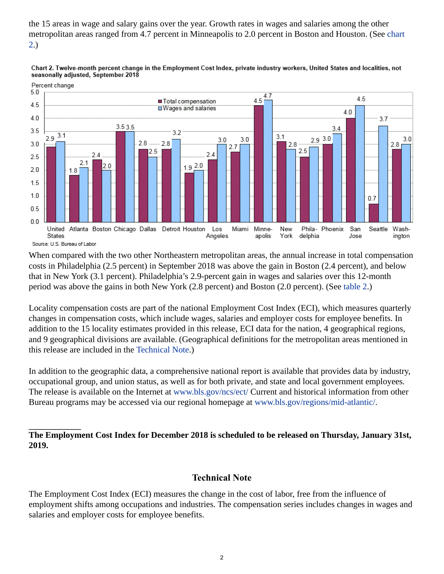the 15 areas in wage and salary gains over the year. Growth rates in wages and salaries among the other metropolitan areas ranged from 4.7 percent in Minneapolis to 2.0 percent in Boston and Houston. (See chart 2.)





When compared with the two other Northeastern metropolitan areas, the annual increase in total compensation costs in Philadelphia (2.5 percent) in September 2018 was above the gain in Boston (2.4 percent), and below that in New York (3.1 percent). Philadelphia's 2.9-percent gain in wages and salaries over this 12-month period was above the gains in both New York (2.8 percent) and Boston (2.0 percent). (See [table 2](#page-5-0).)

Locality compensation costs are part of the national Employment Cost Index (ECI), which measures quarterly changes in compensation costs, which include wages, salaries and employer costs for employee benefits. In addition to the 15 locality estimates provided in this release, ECI data for the nation, 4 geographical regions, and 9 geographical divisions are available. (Geographical definitions for the metropolitan areas mentioned in this release are included in the [Technical Note.](#page-1-0))

In addition to the geographic data, a comprehensive national report is available that provides data by industry, occupational group, and union status, as well as for both private, and state and local government employees. The release is available on the Internet at [www.bls.gov/ncs/ect/](https://www.bls.gov/ncs/ect/) Current and historical information from other Bureau programs may be accessed via our regional homepage at [www.bls.gov/regions/mid-atlantic/.](https://www.bls.gov/regions/mid-atlantic/)

## **The Employment Cost Index for December 2018 is scheduled to be released on Thursday, January 31st, 2019.**

## **Technical Note**

<span id="page-1-0"></span>The Employment Cost Index (ECI) measures the change in the cost of labor, free from the influence of employment shifts among occupations and industries. The compensation series includes changes in wages and salaries and employer costs for employee benefits.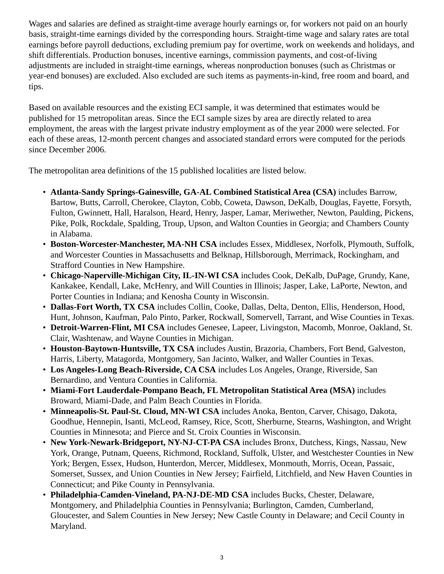Wages and salaries are defined as straight-time average hourly earnings or, for workers not paid on an hourly basis, straight-time earnings divided by the corresponding hours. Straight-time wage and salary rates are total earnings before payroll deductions, excluding premium pay for overtime, work on weekends and holidays, and shift differentials. Production bonuses, incentive earnings, commission payments, and cost-of-living adjustments are included in straight-time earnings, whereas nonproduction bonuses (such as Christmas or year-end bonuses) are excluded. Also excluded are such items as payments-in-kind, free room and board, and tips.

Based on available resources and the existing ECI sample, it was determined that estimates would be published for 15 metropolitan areas. Since the ECI sample sizes by area are directly related to area employment, the areas with the largest private industry employment as of the year 2000 were selected. For each of these areas, 12-month percent changes and associated standard errors were computed for the periods since December 2006.

The metropolitan area definitions of the 15 published localities are listed below.

- **Atlanta-Sandy Springs-Gainesville, GA-AL Combined Statistical Area (CSA)** includes Barrow, Bartow, Butts, Carroll, Cherokee, Clayton, Cobb, Coweta, Dawson, DeKalb, Douglas, Fayette, Forsyth, Fulton, Gwinnett, Hall, Haralson, Heard, Henry, Jasper, Lamar, Meriwether, Newton, Paulding, Pickens, Pike, Polk, Rockdale, Spalding, Troup, Upson, and Walton Counties in Georgia; and Chambers County in Alabama.
- **Boston-Worcester-Manchester, MA-NH CSA** includes Essex, Middlesex, Norfolk, Plymouth, Suffolk, and Worcester Counties in Massachusetts and Belknap, Hillsborough, Merrimack, Rockingham, and Strafford Counties in New Hampshire.
- **Chicago-Naperville-Michigan City, IL-IN-WI CSA** includes Cook, DeKalb, DuPage, Grundy, Kane, Kankakee, Kendall, Lake, McHenry, and Will Counties in Illinois; Jasper, Lake, LaPorte, Newton, and Porter Counties in Indiana; and Kenosha County in Wisconsin.
- **Dallas-Fort Worth, TX CSA** includes Collin, Cooke, Dallas, Delta, Denton, Ellis, Henderson, Hood, Hunt, Johnson, Kaufman, Palo Pinto, Parker, Rockwall, Somervell, Tarrant, and Wise Counties in Texas.
- **Detroit-Warren-Flint, MI CSA** includes Genesee, Lapeer, Livingston, Macomb, Monroe, Oakland, St. Clair, Washtenaw, and Wayne Counties in Michigan.
- **Houston-Baytown-Huntsville, TX CSA** includes Austin, Brazoria, Chambers, Fort Bend, Galveston, Harris, Liberty, Matagorda, Montgomery, San Jacinto, Walker, and Waller Counties in Texas.
- **Los Angeles-Long Beach-Riverside, CA CSA** includes Los Angeles, Orange, Riverside, San Bernardino, and Ventura Counties in California.
- **Miami-Fort Lauderdale-Pompano Beach, FL Metropolitan Statistical Area (MSA)** includes Broward, Miami-Dade, and Palm Beach Counties in Florida.
- **Minneapolis-St. Paul-St. Cloud, MN-WI CSA** includes Anoka, Benton, Carver, Chisago, Dakota, Goodhue, Hennepin, Isanti, McLeod, Ramsey, Rice, Scott, Sherburne, Stearns, Washington, and Wright Counties in Minnesota; and Pierce and St. Croix Counties in Wisconsin.
- **New York-Newark-Bridgeport, NY-NJ-CT-PA CSA** includes Bronx, Dutchess, Kings, Nassau, New York, Orange, Putnam, Queens, Richmond, Rockland, Suffolk, Ulster, and Westchester Counties in New York; Bergen, Essex, Hudson, Hunterdon, Mercer, Middlesex, Monmouth, Morris, Ocean, Passaic, Somerset, Sussex, and Union Counties in New Jersey; Fairfield, Litchfield, and New Haven Counties in Connecticut; and Pike County in Pennsylvania.
- **Philadelphia-Camden-Vineland, PA-NJ-DE-MD CSA** includes Bucks, Chester, Delaware, Montgomery, and Philadelphia Counties in Pennsylvania; Burlington, Camden, Cumberland, Gloucester, and Salem Counties in New Jersey; New Castle County in Delaware; and Cecil County in Maryland.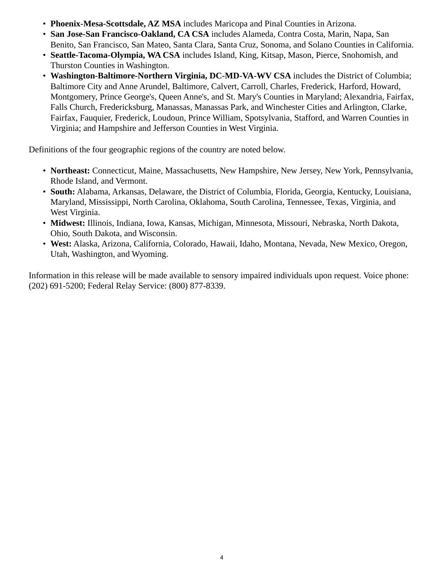- **Phoenix-Mesa-Scottsdale, AZ MSA** includes Maricopa and Pinal Counties in Arizona.
- **San Jose-San Francisco-Oakland, CA CSA** includes Alameda, Contra Costa, Marin, Napa, San Benito, San Francisco, San Mateo, Santa Clara, Santa Cruz, Sonoma, and Solano Counties in California.
- **Seattle-Tacoma-Olympia, WA CSA** includes Island, King, Kitsap, Mason, Pierce, Snohomish, and Thurston Counties in Washington.
- **Washington-Baltimore-Northern Virginia, DC-MD-VA-WV CSA** includes the District of Columbia; Baltimore City and Anne Arundel, Baltimore, Calvert, Carroll, Charles, Frederick, Harford, Howard, Montgomery, Prince George's, Queen Anne's, and St. Mary's Counties in Maryland; Alexandria, Fairfax, Falls Church, Fredericksburg, Manassas, Manassas Park, and Winchester Cities and Arlington, Clarke, Fairfax, Fauquier, Frederick, Loudoun, Prince William, Spotsylvania, Stafford, and Warren Counties in Virginia; and Hampshire and Jefferson Counties in West Virginia.

Definitions of the four geographic regions of the country are noted below.

- **Northeast:** Connecticut, Maine, Massachusetts, New Hampshire, New Jersey, New York, Pennsylvania, Rhode Island, and Vermont.
- **South:** Alabama, Arkansas, Delaware, the District of Columbia, Florida, Georgia, Kentucky, Louisiana, Maryland, Mississippi, North Carolina, Oklahoma, South Carolina, Tennessee, Texas, Virginia, and West Virginia.
- **Midwest:** Illinois, Indiana, Iowa, Kansas, Michigan, Minnesota, Missouri, Nebraska, North Dakota, Ohio, South Dakota, and Wisconsin.
- **West:** Alaska, Arizona, California, Colorado, Hawaii, Idaho, Montana, Nevada, New Mexico, Oregon, Utah, Washington, and Wyoming.

Information in this release will be made available to sensory impaired individuals upon request. Voice phone: (202) 691-5200; Federal Relay Service: (800) 877-8339.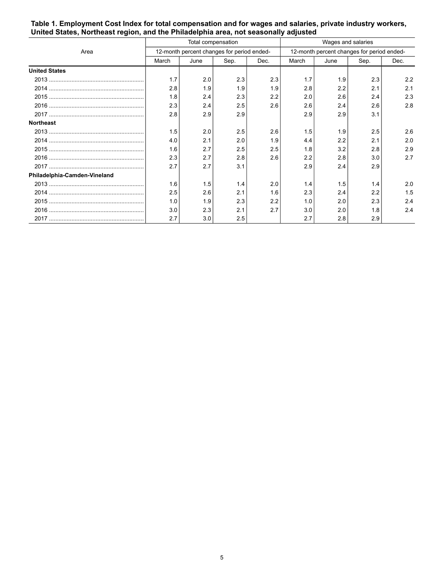|                              | Total compensation                         |      |      |      | Wages and salaries                         |      |      |      |
|------------------------------|--------------------------------------------|------|------|------|--------------------------------------------|------|------|------|
| Area                         | 12-month percent changes for period ended- |      |      |      | 12-month percent changes for period ended- |      |      |      |
|                              | March                                      | June | Sep. | Dec. | March                                      | June | Sep. | Dec. |
| <b>United States</b>         |                                            |      |      |      |                                            |      |      |      |
|                              | 1.7                                        | 2.0  | 2.3  | 2.3  | 1.7                                        | 1.9  | 2.3  | 2.2  |
|                              | 2.8                                        | 1.9  | 1.9  | 1.9  | 2.8                                        | 2.2  | 2.1  | 2.1  |
|                              | 1.8                                        | 2.4  | 2.3  | 2.2  | 2.0                                        | 2.6  | 2.4  | 2.3  |
|                              | 2.3                                        | 2.4  | 2.5  | 2.6  | 2.6                                        | 2.4  | 2.6  | 2.8  |
|                              | 2.8                                        | 2.9  | 2.9  |      | 2.9                                        | 2.9  | 3.1  |      |
| <b>Northeast</b>             |                                            |      |      |      |                                            |      |      |      |
|                              | 1.5                                        | 2.0  | 2.5  | 2.6  | 1.5                                        | 1.9  | 2.5  | 2.6  |
|                              | 4.0                                        | 2.1  | 2.0  | 1.9  | 4.4                                        | 2.2  | 2.1  | 2.0  |
|                              | 1.6                                        | 2.7  | 2.5  | 2.5  | 1.8                                        | 3.2  | 2.8  | 2.9  |
|                              | 2.3                                        | 2.7  | 2.8  | 2.6  | 2.2                                        | 2.8  | 3.0  | 2.7  |
|                              | 2.7                                        | 2.7  | 3.1  |      | 2.9                                        | 2.4  | 2.9  |      |
| Philadelphia-Camden-Vineland |                                            |      |      |      |                                            |      |      |      |
|                              | 1.6                                        | 1.5  | 1.4  | 2.0  | 1.4                                        | 1.5  | 1.4  | 2.0  |
|                              | 2.5                                        | 2.6  | 2.1  | 1.6  | 2.3                                        | 2.4  | 2.2  | 1.5  |
|                              | 1.0                                        | 1.9  | 2.3  | 2.2  | 1.0                                        | 2.0  | 2.3  | 2.4  |
|                              | 3.0                                        | 2.3  | 2.1  | 2.7  | 3.0                                        | 2.0  | 1.8  | 2.4  |
|                              | 2.7                                        | 3.0  | 2.5  |      | 2.7                                        | 2.8  | 2.9  |      |

<span id="page-4-0"></span>**Table 1. Employment Cost Index for total compensation and for wages and salaries, private industry workers, United States, Northeast region, and the Philadelphia area, not seasonally adjusted**